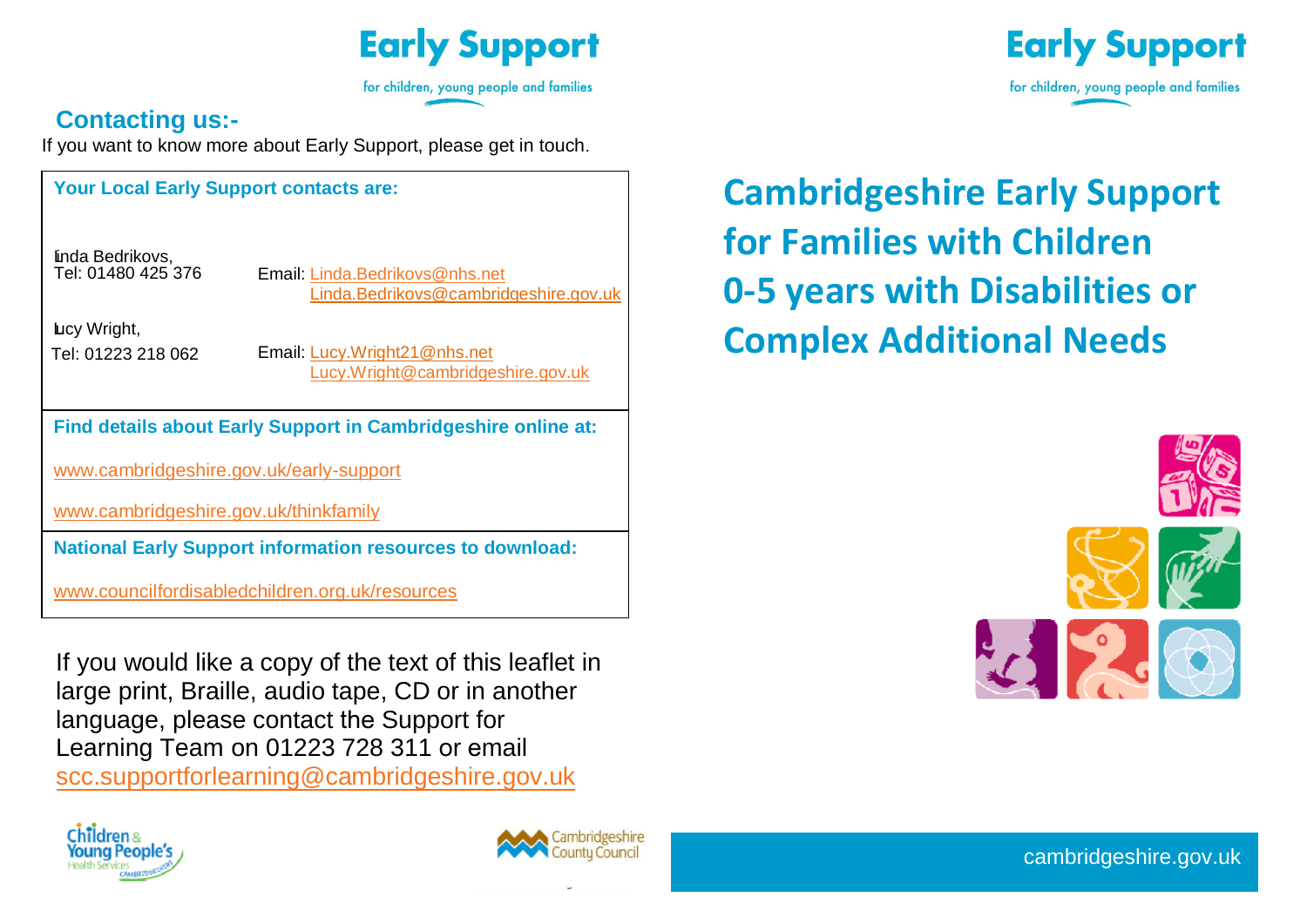

for children, young people and families

# **Contacting us:-**

If you want to know more about Early Support, please get in touch.

| <b>Your Local Early Support contacts are:</b>                    |                                                                         |
|------------------------------------------------------------------|-------------------------------------------------------------------------|
| linda Bedrikovs,<br>Tel: 01480 425 376                           | Email: Linda.Bedrikovs@nhs.net<br>Linda.Bedrikovs@cambridgeshire.gov.uk |
| Lucy Wright,                                                     |                                                                         |
| Tel: 01223 218 062                                               | Email: Lucy.Wright21@nhs.net                                            |
|                                                                  | Lucy.Wright@cambridgeshire.gov.uk                                       |
| Find details about Early Support in Cambridgeshire online at:    |                                                                         |
| www.cambridgeshire.gov.uk/early-support                          |                                                                         |
| www.cambridgeshire.gov.uk/thinkfamily                            |                                                                         |
| <b>National Early Support information resources to download:</b> |                                                                         |
| www.councilfordisabledchildren.org.uk/resources                  |                                                                         |

If you would like a copy of the text of this leaflet in large print, Braille, audio tape, CD or in another language, please contact the Support for Learning Team on 01223 728 311 or email [scc.supportforlearning@cambridgeshire.gov.uk](mailto:scc.supportforlearning@cambridgeshire.gov.uk)





**Cambridgeshire Early Support for Families with Children 0-5 years with Disabilities or Complex Additional Needs** 



**Early Support** 

for children, young people and families